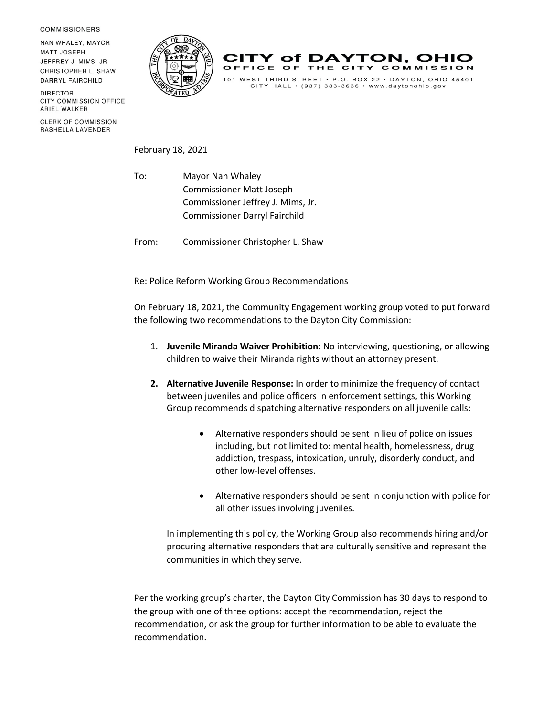**COMMISSIONERS** 

NAN WHALEY, MAYOR **MATT JOSEPH** JEFFREY J. MIMS, JR. CHRISTOPHER L. SHAW DARRYL FAIRCHILD

**DIRECTOR** CITY COMMISSION OFFICE ARIEL WALKER

**CLERK OF COMMISSION** RASHELLA LAVENDER





CITY HALL  $\cdot$  (937) 333-3636  $\cdot$  www.daytonohio.gov

February 18, 2021

To: Mayor Nan Whaley Commissioner Matt Joseph Commissioner Jeffrey J. Mims, Jr. Commissioner Darryl Fairchild

From: Commissioner Christopher L. Shaw

Re: Police Reform Working Group Recommendations

On February 18, 2021, the Community Engagement working group voted to put forward the following two recommendations to the Dayton City Commission:

- 1. **Juvenile Miranda Waiver Prohibition**: No interviewing, questioning, or allowing children to waive their Miranda rights without an attorney present.
- **2. Alternative Juvenile Response:** In order to minimize the frequency of contact between juveniles and police officers in enforcement settings, this Working Group recommends dispatching alternative responders on all juvenile calls:
	- Alternative responders should be sent in lieu of police on issues including, but not limited to: mental health, homelessness, drug addiction, trespass, intoxication, unruly, disorderly conduct, and other low-level offenses.
	- Alternative responders should be sent in conjunction with police for all other issues involving juveniles.

In implementing this policy, the Working Group also recommends hiring and/or procuring alternative responders that are culturally sensitive and represent the communities in which they serve.

Per the working group's charter, the Dayton City Commission has 30 days to respond to the group with one of three options: accept the recommendation, reject the recommendation, or ask the group for further information to be able to evaluate the recommendation.